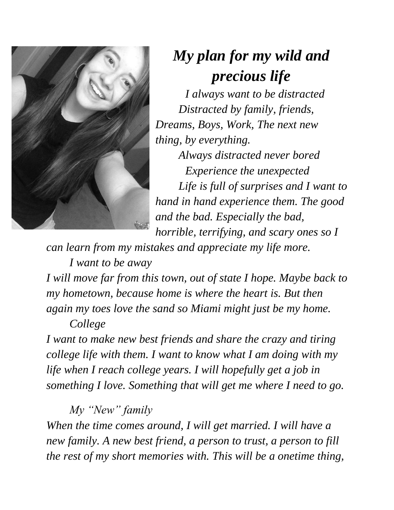

## *My plan for my wild and precious life*

*I always want to be distracted Distracted by family, friends, Dreams, Boys, Work, The next new thing, by everything.*

*Always distracted never bored Experience the unexpected Life is full of surprises and I want to hand in hand experience them. The good and the bad. Especially the bad, horrible, terrifying, and scary ones so I* 

*can learn from my mistakes and appreciate my life more.*

*I want to be away*

*I will move far from this town, out of state I hope. Maybe back to my hometown, because home is where the heart is. But then again my toes love the sand so Miami might just be my home. College* 

*I want to make new best friends and share the crazy and tiring college life with them. I want to know what I am doing with my life when I reach college years. I will hopefully get a job in something I love. Something that will get me where I need to go.*

*My "New" family*

*When the time comes around, I will get married. I will have a new family. A new best friend, a person to trust, a person to fill the rest of my short memories with. This will be a onetime thing,*